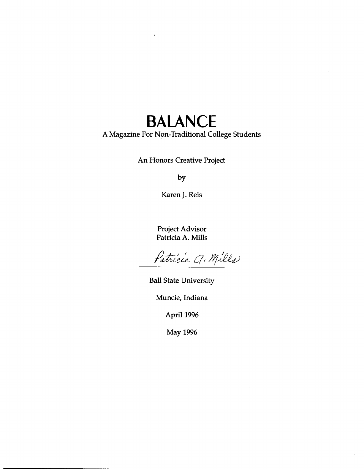### **BALANCE**

#### A Magazine For Non-Traditional College Students

An Honors Creative Project

by

Karen J. Reis

Project Advisor Patricia A. Mills

Patricia Q. Mills

Ball State University

Muncie, Indiana

April 1996

May 1996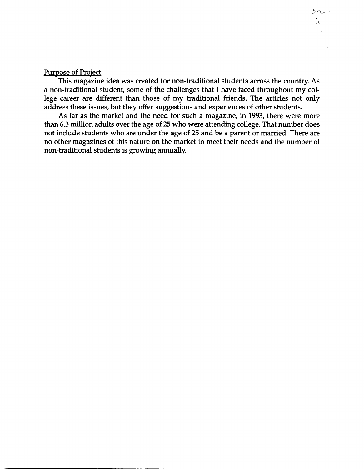#### Purpose of Project

This magazine idea was created for non-traditional students across the country. As a non-traditional student, some of the challenges that I have faced throughout my college career are different than those of my traditional friends. The articles not only address these issues, but they offer suggestions and experiences of other students.

 $S_{\ell}$ C $_{\ell}$  $\gamma$  ) and

As far as the market and the need for such a magazine, in 1993, there were more than 6.3 million adults over the age of 25 who were attending college. That number does not include students who are under the age of 25 and be a parent or married. There are no other magazines of this nature on the market to meet their needs and the number of non-traditional students is growing annually.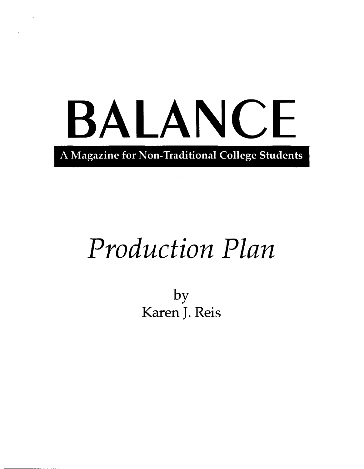# BALANCE , A Magazine for Non-Traditional College Students

## *Production Plan*

by Karen J. Reis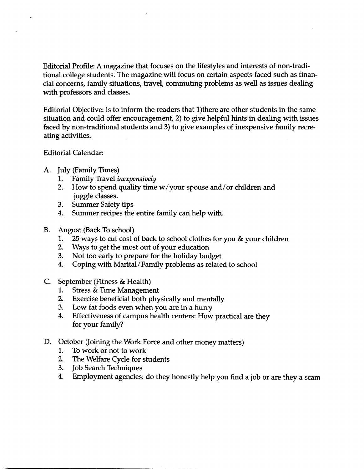Editorial Profile: A magazine that focuses on the lifestyles and interests of non-traditional college students. The magazine will focus on certain aspects faced such as financial concerns, family situations, travel, commuting problems as well as issues dealing with professors and classes.

Editorial Objective: Is to inform the readers that l)there are other students in the same situation and could offer encouragement, 2) to give helpful hints in dealing with issues faced by non-traditional students and 3) to give examples of inexpensive family recreating activities.

#### Editorial Calendar:

- A. July (Family Times)
	- 1. Family Travel *inexpensively*
	- 2. How to spend quality time w/your spouse and/or children and juggle classes.
	- 3. Summer Safety tips
	- 4. Summer recipes the entire family can help with.
- B. August (Back To school)
	- 1. 25 ways to cut cost of back to school clothes for you & your children
	- 2. Ways to get the most out of your education
	- 3. Not too early to prepare for the holiday budget
	- 4. Coping with Marital/Family problems as related to school
- C. September (Fitness & Health)
	- 1. Stress & Time Management
	- 2. Exercise beneficial both physically and mentally
	- 3. Low-fat foods even when you are in a hurry
	- 4. Effectiveness of campus health centers: How practical are they for your family?
- D. October (Joining the Work Force and other money matters)
	- 1. To work or not to work
	- 2. The Welfare Cycle for students
	- 3. Job Search Techniques
	- 4. Employment agencies: do they honestly help you find a job or are they a scam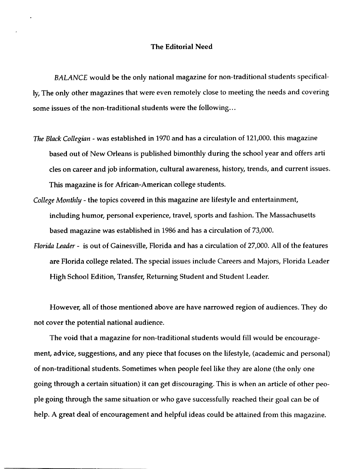#### The Editorial Need

*BALANCE* would be the only national magazine for non-traditional students specifically, The only other magazines that were even remotely close to meeting the needs and covering some issues of the non-traditional students were the following ...

- *The Black Collegian*  was established in 1970 and has a circulation of 121,000. this magazine based out of New Orleans is published bimonthly during the school year and offers arti cles on career and job information, cultural awareness, history, trends, and current issues. This magazine is for African-American college students.
- *College Monthly*  the topics covered in this magazine are lifestyle and entertainment, including humor, personal experience, travel, sports and fashion. The Massachusetts based magazine was established in 1986 and has a circulation of 73,000.
- *Florida Leader*  is out of Gainesville, Florida and has a circulation of 27,000. All of the features are Florida college related. The special issues include Careers and Majors, Florida Leader High School Edition, Transfer, Returning Student and Student Leader.

However, all of those mentioned above are have narrowed region of audiences. They do not cover the potential national audience.

The void that a magazine for non-traditional students would fill would be encouragement, advice, suggestions, and any piece that focuses on the lifestyle, (academic and personal) of non-traditional students. Sometimes when people feel like they are alone (the only one going through a certain situation) it can get discouraging. This is when an article of other people going through the same situation or who gave successfully reached their goal can be of help. A great deal of encouragement and helpful ideas could be attained from this magazine.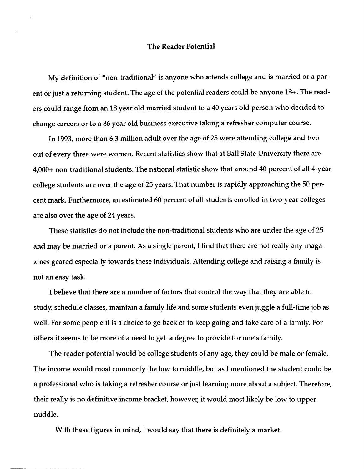#### The Reader Potential

My definition of "non-traditional" is anyone who attends college and is married or a parent or just a returning student. The age of the potential readers could be anyone 18+. The readers could range from an 18 year old married student to a 40 years old person who decided to change careers or to a 36 year old business executive taking a refresher computer course.

In 1993, more than 6.3 million adult over the age of 25 were attending college and two out of every three were women. Recent statistics show that at Ball State University there are 4,000+ non-traditional students. The national statistic show that around 40 percent of all 4-year college students are over the age of 25 years. That number is rapidly approaching the 50 percent mark. Furthermore, an estimated 60 percent of all students enrolled in two-year colleges are also over the age of 24 years.

These statistics do not include the non-traditional students who are under the age of 25 and may be married or a parent. As a single parent, I find that there are not really any magazines geared especially towards these individuals. Attending college and raising a family is not an easy task.

I believe that there are a number of factors that control the way that they are able to study, schedule classes, maintain a family life and some students even juggle a full-time job as well. For some people it is a choice to go back or to keep going and take care of a family. For others it seems to be more of a need to get a degree to provide for one's family.

The reader potential would be college students of any age, they could be male or female. The income would most commonly be low to middle, but as I mentioned the student could be a professional who is taking a refresher course or just learning more about a subject. Therefore, their really is no definitive income bracket, however, it would most likely be low to upper middle.

With these figures in mind, I would say that there is definitely a market.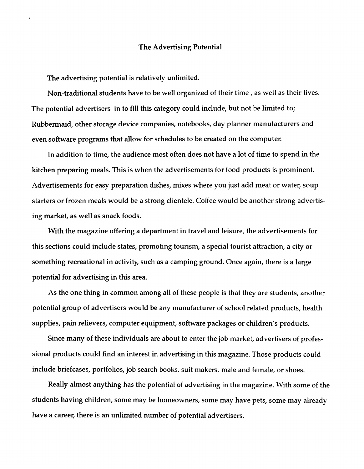#### The Advertising Potential

The advertising potential is relatively unlimited.

Non-traditional students have to be well organized of their time, as well as their lives. The potential advertisers in to fill this category could include, but not be limited to; Rubbermaid, other storage device companies, notebooks, day planner manufacturers and even software programs that allow for schedules to be created on the computer.

In addition to time, the audience most often does not have a lot of time to spend in the kitchen preparing meals. This is when the advertisements for food products is prominent. Advertisements for easy preparation dishes, mixes where you just add meat or water, soup starters or frozen meals would be a strong clientele. Coffee would be another strong advertising market, as well as snack foods.

With the magazine offering a department in travel and leisure, the advertisements for this sections could include states, promoting tourism, a special tourist attraction, a city or something recreational in activity, such as a camping ground. Once again, there is a large potential for advertising in this area.

As the one thing in common among all of these people is that they are students, another potential group of advertisers would be any manufacturer of school related products, health supplies, pain relievers, computer equipment, software packages or children's products.

Since many of these individuals are about to enter the job market, advertisers of professional products could find an interest in advertising in this magazine. Those products could include briefcases, portfolios, job search books. suit makers, male and female, or shoes.

Really almost anything has the potential of advertising in the magazine. With some of the students having children, some may be homeowners, some may have pets, some may already have a career, there is an unlimited number of potential advertisers.